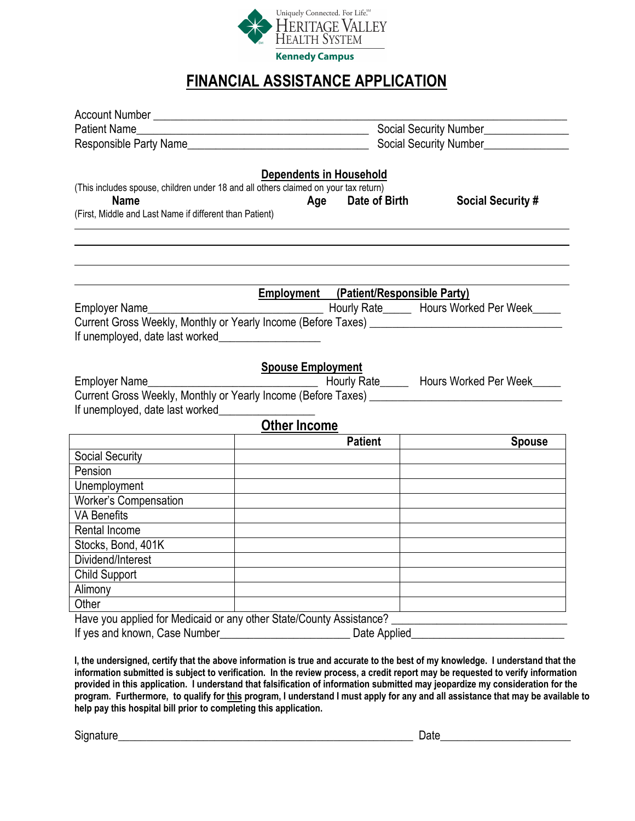

## **FINANCIAL ASSISTANCE APPLICATION**

| Patient Name                                                                                                                                                                                                                        |                                               | Social Security Number_____________ |                                              |  |  |
|-------------------------------------------------------------------------------------------------------------------------------------------------------------------------------------------------------------------------------------|-----------------------------------------------|-------------------------------------|----------------------------------------------|--|--|
| Responsible Party Name                                                                                                                                                                                                              | Social Security Number_______________         |                                     |                                              |  |  |
| (This includes spouse, children under 18 and all others claimed on your tax return)<br><b>Name</b><br>(First, Middle and Last Name if different than Patient)                                                                       | <b>Dependents in Household</b><br>Age         | <b>Date of Birth</b>                | <b>Social Security #</b>                     |  |  |
|                                                                                                                                                                                                                                     | <b>Employment</b> (Patient/Responsible Party) |                                     |                                              |  |  |
| Employer Name                                                                                                                                                                                                                       |                                               |                                     | Hourly Rate______ Hours Worked Per Week_____ |  |  |
|                                                                                                                                                                                                                                     |                                               |                                     |                                              |  |  |
| If unemployed, date last worked                                                                                                                                                                                                     |                                               |                                     |                                              |  |  |
|                                                                                                                                                                                                                                     |                                               |                                     |                                              |  |  |
| Employer Name <b>Employer</b> Name                                                                                                                                                                                                  | <b>Spouse Employment</b>                      |                                     | Hourly Rate Hours Worked Per Week            |  |  |
|                                                                                                                                                                                                                                     |                                               |                                     |                                              |  |  |
| If unemployed, date last worked                                                                                                                                                                                                     |                                               |                                     |                                              |  |  |
|                                                                                                                                                                                                                                     | <b>Other Income</b>                           |                                     |                                              |  |  |
|                                                                                                                                                                                                                                     | <b>Patient</b>                                |                                     | <b>Spouse</b>                                |  |  |
| Social Security                                                                                                                                                                                                                     |                                               |                                     |                                              |  |  |
| Pension                                                                                                                                                                                                                             |                                               |                                     |                                              |  |  |
| Unemployment                                                                                                                                                                                                                        |                                               |                                     |                                              |  |  |
| <b>Worker's Compensation</b>                                                                                                                                                                                                        |                                               |                                     |                                              |  |  |
| <b>VA Benefits</b>                                                                                                                                                                                                                  |                                               |                                     |                                              |  |  |
| Rental Income                                                                                                                                                                                                                       |                                               |                                     |                                              |  |  |
| Stocks, Bond, 401K                                                                                                                                                                                                                  |                                               |                                     |                                              |  |  |
| Dividend/Interest                                                                                                                                                                                                                   |                                               |                                     |                                              |  |  |
| Child Support                                                                                                                                                                                                                       |                                               |                                     |                                              |  |  |
| Alimony                                                                                                                                                                                                                             |                                               |                                     |                                              |  |  |
| Other                                                                                                                                                                                                                               |                                               |                                     |                                              |  |  |
| Have you applied for Medicaid or any other State/County Assistance?                                                                                                                                                                 |                                               |                                     |                                              |  |  |
| If yes and known, Case Number <b>Example 20</b> Section 20 April 20 Section 20 April 20 Section 20 April 20 Section 20 Section 20 April 20 Section 20 April 20 Section 20 Section 20 Section 20 Section 20 Section 20 Section 20 Se |                                               | Date Applied_                       |                                              |  |  |
|                                                                                                                                                                                                                                     | alaana tufamootta u ta fiina amal a           |                                     |                                              |  |  |

**I, the undersigned, certify that the above information is true and accurate to the best of my knowledge. I understand that the information submitted is subject to verification. In the review process, a credit report may be requested to verify information provided in this application. I understand that falsification of information submitted may jeopardize my consideration for the program. Furthermore, to qualify for this program, I understand I must apply for any and all assistance that may be available to help pay this hospital bill prior to completing this application.** 

Signature\_\_\_\_\_\_\_\_\_\_\_\_\_\_\_\_\_\_\_\_\_\_\_\_\_\_\_\_\_\_\_\_\_\_\_\_\_\_\_\_\_\_\_\_\_\_\_\_\_\_\_\_ Date\_\_\_\_\_\_\_\_\_\_\_\_\_\_\_\_\_\_\_\_\_\_\_